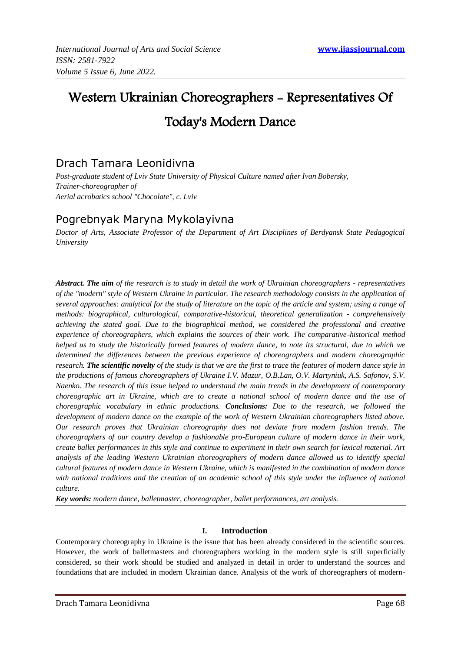# Western Ukrainian Choreographers - Representatives Of Today's Modern Dance

# Drach Tamara Leonidivna

*Post-graduate student of Lviv State University of Physical Culture named after Ivan Bobersky, Trainer-choreographer of Aerial acrobatics school "Chocolate", c. Lviv*

# Pogrebnyak Maryna Mykolayivna

*Doctor of Arts, Associate Professor of the Department of Art Disciplines of Berdyansk State Pedagogical University*

*Abstract. The aim of the research is to study in detail the work of Ukrainian choreographers - representatives of the "modern" style of Western Ukraine in particular. The research methodology consists in the application of several approaches: analytical for the study of literature on the topic of the article and system; using a range of methods: biographical, culturological, comparative-historical, theoretical generalization - comprehensively achieving the stated goal. Due to the biographical method, we considered the professional and creative experience of choreographers, which explains the sources of their work. The comparative-historical method helped us to study the historically formed features of modern dance, to note its structural, due to which we determined the differences between the previous experience of choreographers and modern choreographic research. The scientific novelty of the study is that we are the first to trace the features of modern dance style in the productions of famous choreographers of Ukraine I.V. Mazur, O.B.Lan, O.V. Martyniuk, A.S. Safonov, S.V. Naenko. The research of this issue helped to understand the main trends in the development of contemporary choreographic art in Ukraine, which are to create a national school of modern dance and the use of choreographic vocabulary in ethnic productions. Conclusions: Due to the research, we followed the development of modern dance on the example of the work of Western Ukrainian choreographers listed above. Our research proves that Ukrainian choreography does not deviate from modern fashion trends. The choreographers of our country develop a fashionable pro-European culture of modern dance in their work, create ballet performances in this style and continue to experiment in their own search for lexical material. Art analysis of the leading Western Ukrainian choreographers of modern dance allowed us to identify special cultural features of modern dance in Western Ukraine, which is manifested in the combination of modern dance*  with national traditions and the creation of an academic school of this style under the influence of national *culture.*

*Key words: modern dance, balletmaster, choreographer, ballet performances, art analysis.*

## **I. Introduction**

Contemporary choreography in Ukraine is the issue that has been already considered in the scientific sources. However, the work of balletmasters and choreographers working in the modern style is still superficially considered, so their work should be studied and analyzed in detail in order to understand the sources and foundations that are included in modern Ukrainian dance. Analysis of the work of choreographers of modern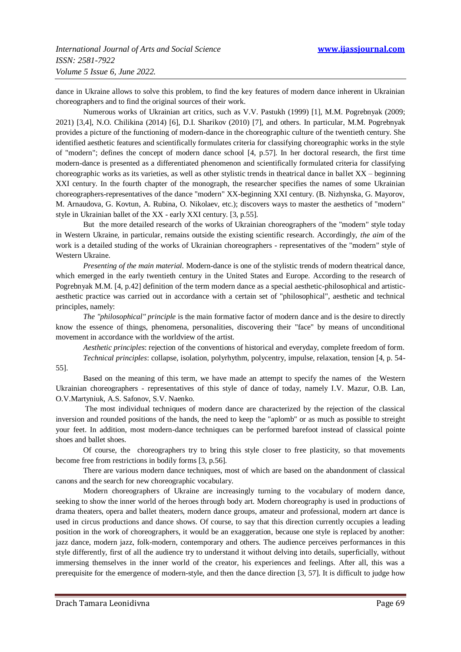dance in Ukraine allows to solve this problem, to find the key features of modern dance inherent in Ukrainian choreographers and to find the original sources of their work.

Numerous works of Ukrainian art critics, such as V.V. Pastukh (1999) [1], M.M. Pogrebnyak (2009; 2021) [3,4], N.O. Chilikina (2014) [6], D.I. Sharikov (2010) [7], and others. In particular, M.M. Pogrebnyak provides a picture of the functioning of modern-dance in the choreographic culture of the twentieth century. She identified aesthetic features and scientifically formulates criteria for classifying choreographic works in the style of "modern"; defines the concept of modern dance school [4, p.57]. In her doctoral research, the first time modern-dance is presented as a differentiated phenomenon and scientifically formulated criteria for classifying choreographic works as its varieties, as well as other stylistic trends in theatrical dance in ballet XX – beginning XXI century. In the fourth chapter of the monograph, the researcher specifies the names of some Ukrainian choreographers-representatives of the dance "modern" XX-beginning XXI century. (B. Nizhynska, G. Mayorov, M. Arnaudova, G. Kovtun, A. Rubina, O. Nikolaev, etc.); discovers ways to master the aesthetics of "modern" style in Ukrainian ballet of the XX - early XXI century. [3, p.55].

But the more detailed research of the works of Ukrainian choreographers of the "modern" style today in Western Ukraine, in particular, remains outside the existing scientific research. Accordingly, *the aim* of the work is a detailed studing of the works of Ukrainian choreographers - representatives of the "modern" style of Western Ukraine.

*Presenting of the main material.* Modern-dance is one of the stylistic trends of modern theatrical dance, which emerged in the early twentieth century in the United States and Europe. According to the research of Pogrebnyak M.M. [4, p.42] definition of the term modern dance as a special aesthetic-philosophical and artisticaesthetic practice was carried out in accordance with a certain set of "philosophical", aesthetic and technical principles, namely:

*The "philosophical" principle* is the main formative factor of modern dance and is the desire to directly know the essence of things, phenomena, personalities, discovering their "face" by means of unconditional movement in accordance with the worldview of the artist.

*Aesthetic principles*: rejection of the conventions of historical and everyday, complete freedom of form. *Technical principles*: collapse, isolation, polyrhythm, polycentry, impulse, relaxation, tension [4, p. 54-

55].

Based on the meaning of this term, we have made an attempt to specify the names of the Western Ukrainian choreographers - representatives of this style of dance of today, namely I.V. Mazur, O.B. Lan, O.V.Martyniuk, A.S. Safonov, S.V. Naenko.

The most individual techniques of modern dance are characterized by the rejection of the classical inversion and rounded positions of the hands, the need to keep the "aplomb" or as much as possible to streight your feet. In addition, most modern-dance techniques can be performed barefoot instead of classical pointe shoes and ballet shoes.

Of course, the choreographers try to bring this style closer to free plasticity, so that movements become free from restrictions in bodily forms [3, p.56].

There are various modern dance techniques, most of which are based on the abandonment of classical canons and the search for new choreographic vocabulary.

Modern choreographers of Ukraine are increasingly turning to the vocabulary of modern dance, seeking to show the inner world of the heroes through body art. Modern choreography is used in productions of drama theaters, opera and ballet theaters, modern dance groups, amateur and professional, modern art dance is used in circus productions and dance shows. Of course, to say that this direction currently occupies a leading position in the work of choreographers, it would be an exaggeration, because one style is replaced by another: jazz dance, modern jazz, folk-modern, contemporary and others. The audience perceives performances in this style differently, first of all the audience try to understand it without delving into details, superficially, without immersing themselves in the inner world of the creator, his experiences and feelings. After all, this was a prerequisite for the emergence of modern-style, and then the dance direction [3, 57]. It is difficult to judge how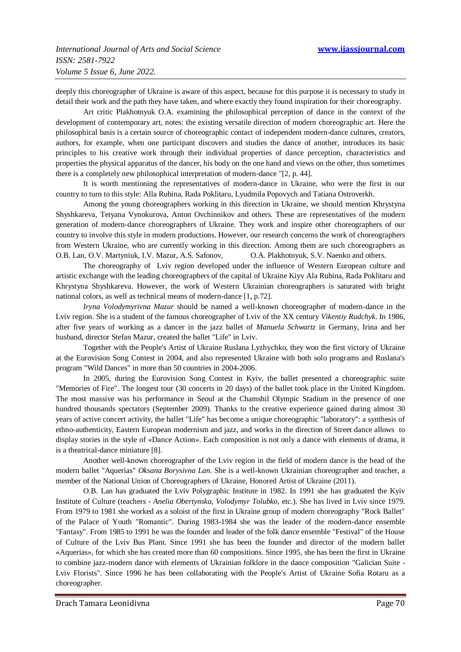deeply this choreographer of Ukraine is aware of this aspect, because for this purpose it is necessary to study in detail their work and the path they have taken, and where exactly they found inspiration for their choreography.

Art critic Plakhotnyuk O.A. examining the philosophical perception of dance in the context of the development of contemporary art, notes: the existing versatile direction of modern choreographic art. Here the philosophical basis is a certain source of choreographic contact of independent modern-dance cultures, creators, authors, for example, when one participant discovers and studies the dance of another, introduces its basic principles to his creative work through their individual properties of dance perception, characteristics and properties the physical apparatus of the dancer, his body on the one hand and views on the other, thus sometimes there is a completely new philosophical interpretation of modern-dance "[2, p. 44].

It is worth mentioning the representatives of modern-dance in Ukraine, who were the first in our country to turn to this style: Alla Rubina, Rada Poklitaru, Lyudmila Popovych and Tatiana Ostroverkh.

Among the young choreographers working in this direction in Ukraine, we should mention Khrystyna Shyshkareva, Tetyana Vynokurova, Anton Ovchinnikov and others. These are representatives of the modern generation of modern-dance choreographers of Ukraine. They work and inspire other choreographers of our country to involve this style in modern productions. However, our research concerns the work of choreographers from Western Ukraine, who are currently working in this direction. Among them are such choreographers as O.B. Lan, O.V. Martyniuk, I.V. Mazur, A.S. Safonov, O.A. Plakhotnyuk, S.V. Naenko and others.

The choreography of Lviv region developed under the influence of Western European culture and artistic exchange with the leading choreographers of the capital of Ukraine Kiyv Ala Rubina, Rada Poklitaru and Khrystyna Shyshkareva. However, the work of Western Ukrainian choreographers is saturated with bright national colors, as well as technical means of modern-dance [1, p.72].

*Iryna Volodymyrivna Mazur* should be named a well-known choreographer of modern-dance in the Lviv region. She is a student of the famous choreographer of Lviv of the XX century *Vikentiy Rudchyk*. In 1986, after five years of working as a dancer in the jazz ballet of *Manuela Schwartz* in Germany, Irina and her husband, director Stefan Mazur, created the ballet "Life" in Lviv.

Together with the People's Artist of Ukraine Ruslana Lyzhychko, they won the first victory of Ukraine at the Eurovision Song Contest in 2004, and also represented Ukraine with both solo programs and Ruslana's program "Wild Dances" in more than 50 countries in 2004-2006.

In 2005, during the Eurovision Song Contest in Kyiv, the ballet presented a choreographic suite "Memories of Fire". The longest tour (30 concerts in 20 days) of the ballet took place in the United Kingdom. The most massive was his performance in Seoul at the Chamshil Olympic Stadium in the presence of one hundred thousands spectators (September 2009). Thanks to the creative experience gained during almost 30 years of active concert activity, the ballet "Life" has become a unique choreographic "laboratory": a synthesis of ethno-authenticity, Eastern European modernism and jazz, and works in the direction of Street dance allows to display stories in the style of «Dance Action». Each composition is not only a dance with elements of drama, it is a theatrical-dance miniature [8].

Another well-known choreographer of the Lviv region in the field of modern dance is the head of the modern ballet "Aquerias" *Oksana Borysivna Lan*. She is a well-known Ukrainian choreographer and teacher, a member of the National Union of Choreographers of Ukraine, Honored Artist of Ukraine (2011).

O.B. Lan has graduated the Lviv Polygraphic Institute in 1982. In 1991 she has graduated the Kyiv Institute of Culture (teachers - *Anelia Obertynska, Volodymyr Tolubko*, etc.). She has lived in Lviv since 1979. From 1979 to 1981 she worked as a soloist of the first in Ukraine group of modern choreography "Rock Ballet" of the Palace of Youth "Romantic". During 1983-1984 she was the leader of the modern-dance ensemble "Fantasy". From 1985 to 1991 he was the founder and leader of the folk dance ensemble "Festival" of the House of Culture of the Lviv Bus Plant. Since 1991 she has been the founder and director of the modern ballet «Aquerias», for which she has created more than 60 compositions. Since 1995, she has been the first in Ukraine to combine jazz-modern dance with elements of Ukrainian folklore in the dance composition "Galician Suite - Lviv Florists". Since 1996 he has been collaborating with the People's Artist of Ukraine Sofia Rotaru as a choreographer.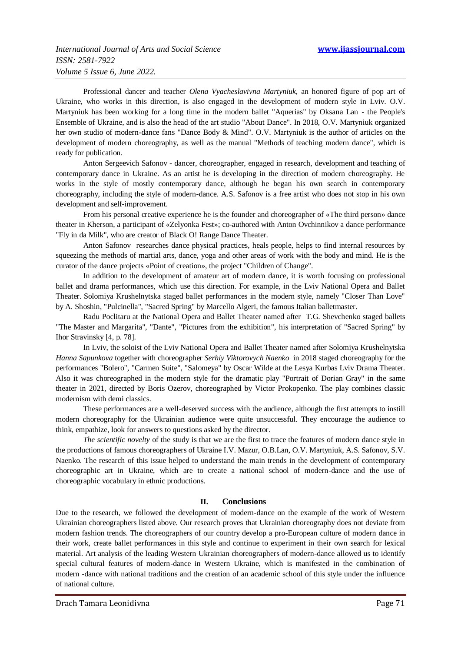Professional dancer and teacher *Olena Vyacheslavivna Martyniuk*, an honored figure of pop art of Ukraine, who works in this direction, is also engaged in the development of modern style in Lviv. O.V. Martyniuk has been working for a long time in the modern ballet "Aquerias" by Oksana Lan - the People's Ensemble of Ukraine, and is also the head of the art studio "About Dance". In 2018, O.V. Martyniuk organized her own studio of modern-dance fans "Dance Body & Mind". O.V. Martyniuk is the author of articles on the development of modern choreography, as well as the manual "Methods of teaching modern dance", which is ready for publication.

Anton Sergeevich Safonov - dancer, choreographer, engaged in research, development and teaching of contemporary dance in Ukraine. As an artist he is developing in the direction of modern choreography. He works in the style of mostly contemporary dance, although he began his own search in contemporary choreography, including the style of modern-dance. A.S. Safonov is a free artist who does not stop in his own development and self-improvement.

From his personal creative experience he is the founder and choreographer of «The third person» dance theater in Kherson, a participant of «Zelyonka Fest»; co-authored with Anton Ovchinnikov a dance performance "Fly in da Milk", who are creator of Black O! Range Dance Theater.

Anton Safonov researches dance physical practices, heals people, helps to find internal resources by squeezing the methods of martial arts, dance, yoga and other areas of work with the body and mind. He is the curator of the dance projects «Point of creation», the project "Children of Change".

In addition to the development of amateur art of modern dance, it is worth focusing on professional ballet and drama performances, which use this direction. For example, in the Lviv National Opera and Ballet Theater. Solomiya Krushelnytska staged ballet performances in the modern style, namely "Closer Than Love" by A. Shoshin, "Pulcinella", "Sacred Spring" by Marcello Algeri, the famous Italian balletmaster.

Radu Poclitaru at the National Opera and Ballet Theater named after T.G. Shevchenko staged ballets "The Master and Margarita", "Dante", "Pictures from the exhibition", his interpretation of "Sacred Spring" by Ihor Stravinsky [4, p. 78].

In Lviv, the soloist of the Lviv National Opera and Ballet Theater named after Solomiya Krushelnytska *Hanna Sapunkova* together with choreographer *Serhiy Viktorovych Naenko* in 2018 staged choreography for the performances "Bolero", "Carmen Suite", "Salomeya" by Oscar Wilde at the Lesya Kurbas Lviv Drama Theater. Also it was choreographed in the modern style for the dramatic play "Portrait of Dorian Gray" in the same theater in 2021, directed by Boris Ozerov, choreographed by Victor Prokopenko. The play combines classic modernism with demi classics.

These performances are a well-deserved success with the audience, although the first attempts to instill modern choreography for the Ukrainian audience were quite unsuccessful. They encourage the audience to think, empathize, look for answers to questions asked by the director.

*The scientific novelty* of the study is that we are the first to trace the features of modern dance style in the productions of famous choreographers of Ukraine I.V. Mazur, O.B.Lan, O.V. Martyniuk, A.S. Safonov, S.V. Naenko. The research of this issue helped to understand the main trends in the development of contemporary choreographic art in Ukraine, which are to create a national school of modern-dance and the use of choreographic vocabulary in ethnic productions.

#### **II. Conclusions**

Due to the research, we followed the development of modern-dance on the example of the work of Western Ukrainian choreographers listed above. Our research proves that Ukrainian choreography does not deviate from modern fashion trends. The choreographers of our country develop a pro-European culture of modern dance in their work, create ballet performances in this style and continue to experiment in their own search for lexical material. Art analysis of the leading Western Ukrainian choreographers of modern-dance allowed us to identify special cultural features of modern-dance in Western Ukraine, which is manifested in the combination of modern -dance with national traditions and the creation of an academic school of this style under the influence of national culture.